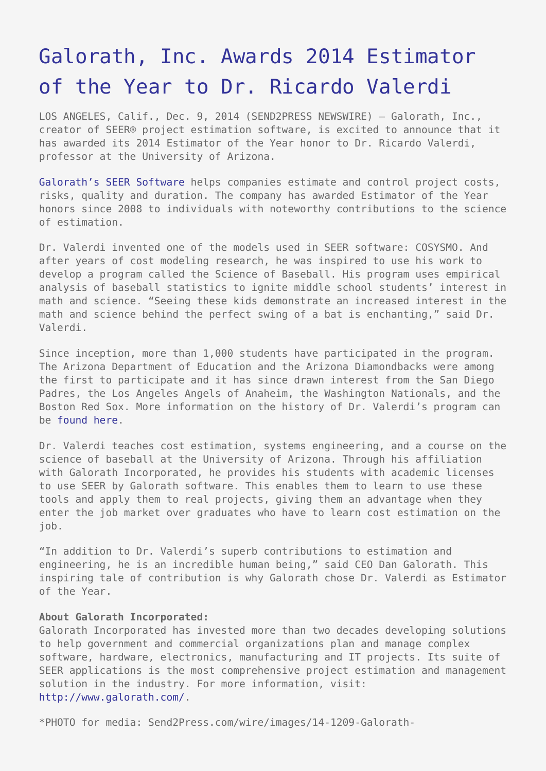## [Galorath, Inc. Awards 2014 Estimator](https://www.send2press.com/wire/galorath-inc-awards-2014-estimator-of-the-year-to-dr-ricardo-valerdi-2014-12-1209-004/) [of the Year to Dr. Ricardo Valerdi](https://www.send2press.com/wire/galorath-inc-awards-2014-estimator-of-the-year-to-dr-ricardo-valerdi-2014-12-1209-004/)

LOS ANGELES, Calif., Dec. 9, 2014 (SEND2PRESS NEWSWIRE) — Galorath, Inc., creator of SEER® project estimation software, is excited to announce that it has awarded its 2014 Estimator of the Year honor to Dr. Ricardo Valerdi, professor at the University of Arizona.

[Galorath's SEER Software](http://www.galorath.com/index.php/products) helps companies estimate and control project costs, risks, quality and duration. The company has awarded Estimator of the Year honors since 2008 to individuals with noteworthy contributions to the science of estimation.

Dr. Valerdi invented one of the models used in SEER software: COSYSMO. And after years of cost modeling research, he was inspired to use his work to develop a program called the Science of Baseball. His program uses empirical analysis of baseball statistics to ignite middle school students' interest in math and science. "Seeing these kids demonstrate an increased interest in the math and science behind the perfect swing of a bat is enchanting," said Dr. Valerdi.

Since inception, more than 1,000 students have participated in the program. The Arizona Department of Education and the Arizona Diamondbacks were among the first to participate and it has since drawn interest from the San Diego Padres, the Los Angeles Angels of Anaheim, the Washington Nationals, and the Boston Red Sox. More information on the history of Dr. Valerdi's program can be [found here.](http://www.galorath.com/wp/presenting-the-galorath-estimator-of-the-year-dr-ricardo-valerdi.php)

Dr. Valerdi teaches cost estimation, systems engineering, and a course on the science of baseball at the University of Arizona. Through his affiliation with Galorath Incorporated, he provides his students with academic licenses to use SEER by Galorath software. This enables them to learn to use these tools and apply them to real projects, giving them an advantage when they enter the job market over graduates who have to learn cost estimation on the job.

"In addition to Dr. Valerdi's superb contributions to estimation and engineering, he is an incredible human being," said CEO Dan Galorath. This inspiring tale of contribution is why Galorath chose Dr. Valerdi as Estimator of the Year.

## **About Galorath Incorporated:**

Galorath Incorporated has invested more than two decades developing solutions to help government and commercial organizations plan and manage complex software, hardware, electronics, manufacturing and IT projects. Its suite of SEER applications is the most comprehensive project estimation and management solution in the industry. For more information, visit: <http://www.galorath.com/>.

\*PHOTO for media: Send2Press.com/wire/images/14-1209-Galorath-